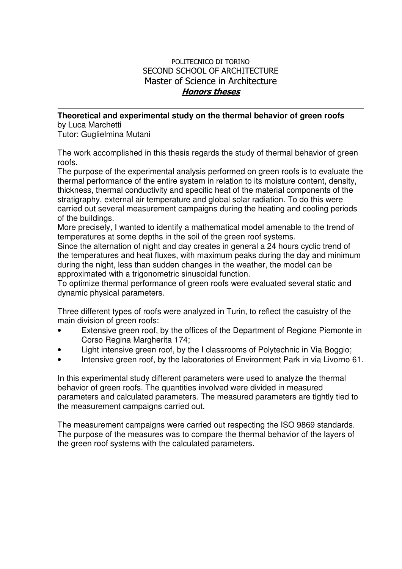## POLITECNICO DI TORINO SECOND SCHOOL OF ARCHITECTURE Master of Science in Architecture Honors theses

## **Theoretical and experimental study on the thermal behavior of green roofs**

by Luca Marchetti Tutor: Guglielmina Mutani

The work accomplished in this thesis regards the study of thermal behavior of green roofs.

The purpose of the experimental analysis performed on green roofs is to evaluate the thermal performance of the entire system in relation to its moisture content, density, thickness, thermal conductivity and specific heat of the material components of the stratigraphy, external air temperature and global solar radiation. To do this were carried out several measurement campaigns during the heating and cooling periods of the buildings.

More precisely, I wanted to identify a mathematical model amenable to the trend of temperatures at some depths in the soil of the green roof systems.

Since the alternation of night and day creates in general a 24 hours cyclic trend of the temperatures and heat fluxes, with maximum peaks during the day and minimum during the night, less than sudden changes in the weather, the model can be approximated with a trigonometric sinusoidal function.

To optimize thermal performance of green roofs were evaluated several static and dynamic physical parameters.

Three different types of roofs were analyzed in Turin, to reflect the casuistry of the main division of green roofs:

- Extensive green roof, by the offices of the Department of Regione Piemonte in Corso Regina Margherita 174;
- Light intensive green roof, by the I classrooms of Polytechnic in Via Boggio;
- Intensive green roof, by the laboratories of Environment Park in via Livorno 61.

In this experimental study different parameters were used to analyze the thermal behavior of green roofs. The quantities involved were divided in measured parameters and calculated parameters. The measured parameters are tightly tied to the measurement campaigns carried out.

The measurement campaigns were carried out respecting the ISO 9869 standards. The purpose of the measures was to compare the thermal behavior of the layers of the green roof systems with the calculated parameters.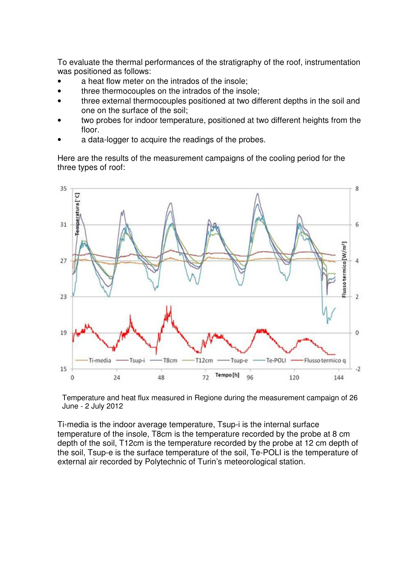To evaluate the thermal performances of the stratigraphy of the roof, instrumentation was positioned as follows:

- a heat flow meter on the intrados of the insole;
- three thermocouples on the intrados of the insole;
- three external thermocouples positioned at two different depths in the soil and one on the surface of the soil;
- two probes for indoor temperature, positioned at two different heights from the floor.
- a data-logger to acquire the readings of the probes.

Here are the results of the measurement campaigns of the cooling period for the three types of roof:



Temperature and heat flux measured in Regione during the measurement campaign of 26 June - 2 July 2012

Ti-media is the indoor average temperature, Tsup-i is the internal surface temperature of the insole, T8cm is the temperature recorded by the probe at 8 cm depth of the soil, T12cm is the temperature recorded by the probe at 12 cm depth of the soil, Tsup-e is the surface temperature of the soil, Te-POLI is the temperature of external air recorded by Polytechnic of Turin's meteorological station.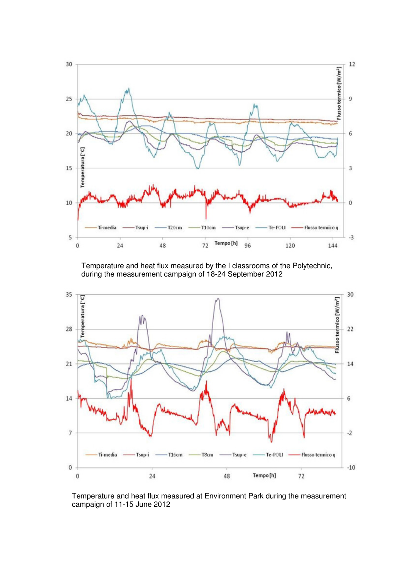

Temperature and heat flux measured by the I classrooms of the Polytechnic, during the measurement campaign of 18-24 September 2012



Temperature and heat flux measured at Environment Park during the measurement campaign of 11-15 June 2012